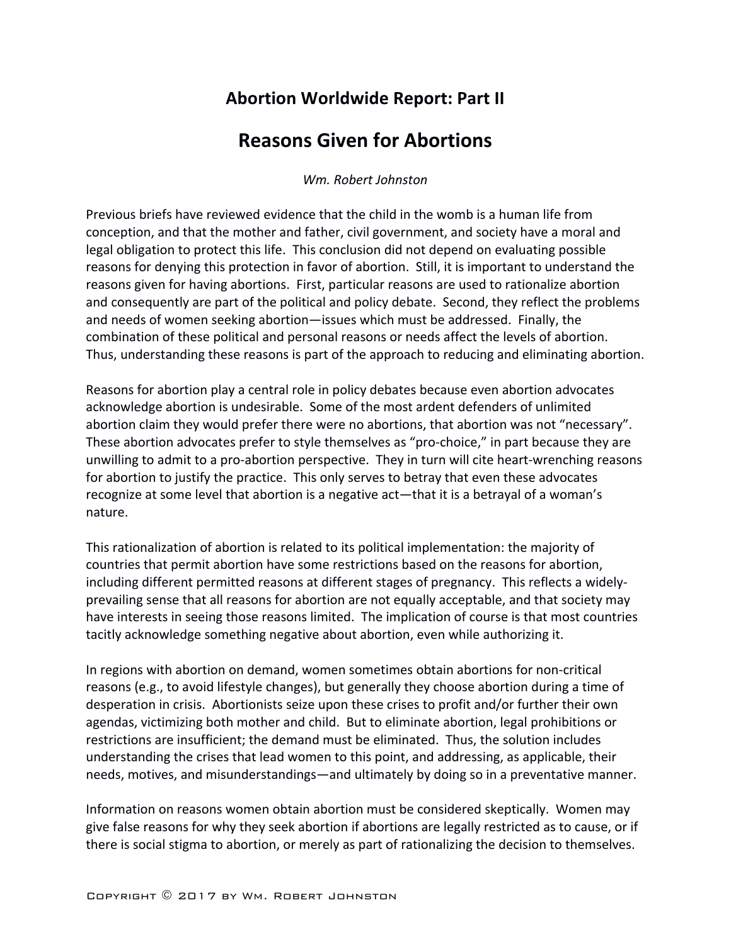# **Abortion Worldwide Report: Part II**

# **Reasons Given for Abortions**

*Wm. Robert Johnston*

Previous briefs have reviewed evidence that the child in the womb is a human life from conception, and that the mother and father, civil government, and society have a moral and legal obligation to protect this life. This conclusion did not depend on evaluating possible reasons for denying this protection in favor of abortion. Still, it is important to understand the reasons given for having abortions. First, particular reasons are used to rationalize abortion and consequently are part of the political and policy debate. Second, they reflect the problems and needs of women seeking abortion—issues which must be addressed. Finally, the combination of these political and personal reasons or needs affect the levels of abortion. Thus, understanding these reasons is part of the approach to reducing and eliminating abortion.

Reasons for abortion play a central role in policy debates because even abortion advocates acknowledge abortion is undesirable. Some of the most ardent defenders of unlimited abortion claim they would prefer there were no abortions, that abortion was not "necessary". These abortion advocates prefer to style themselves as "pro-choice," in part because they are unwilling to admit to a pro-abortion perspective. They in turn will cite heart-wrenching reasons for abortion to justify the practice. This only serves to betray that even these advocates recognize at some level that abortion is a negative act-that it is a betrayal of a woman's nature.

This rationalization of abortion is related to its political implementation: the majority of countries that permit abortion have some restrictions based on the reasons for abortion, including different permitted reasons at different stages of pregnancy. This reflects a widelyprevailing sense that all reasons for abortion are not equally acceptable, and that society may have interests in seeing those reasons limited. The implication of course is that most countries tacitly acknowledge something negative about abortion, even while authorizing it.

In regions with abortion on demand, women sometimes obtain abortions for non-critical reasons (e.g., to avoid lifestyle changes), but generally they choose abortion during a time of desperation in crisis. Abortionists seize upon these crises to profit and/or further their own agendas, victimizing both mother and child. But to eliminate abortion, legal prohibitions or restrictions are insufficient; the demand must be eliminated. Thus, the solution includes understanding the crises that lead women to this point, and addressing, as applicable, their needs, motives, and misunderstandings—and ultimately by doing so in a preventative manner.

Information on reasons women obtain abortion must be considered skeptically. Women may give false reasons for why they seek abortion if abortions are legally restricted as to cause, or if there is social stigma to abortion, or merely as part of rationalizing the decision to themselves.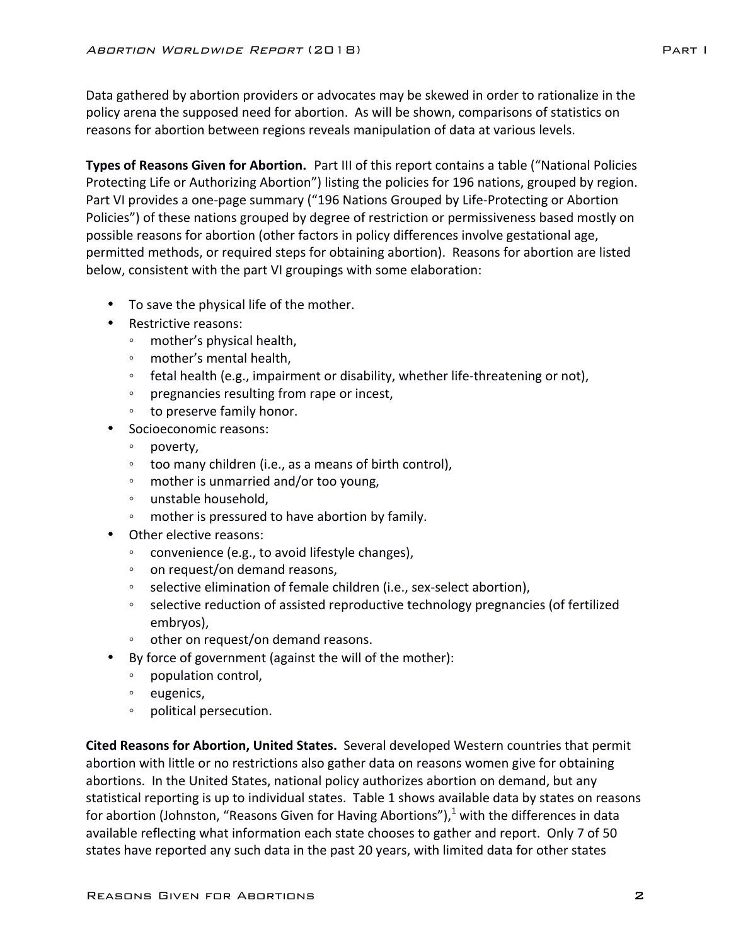Data gathered by abortion providers or advocates may be skewed in order to rationalize in the policy arena the supposed need for abortion. As will be shown, comparisons of statistics on reasons for abortion between regions reveals manipulation of data at various levels.

**Types of Reasons Given for Abortion.** Part III of this report contains a table ("National Policies Protecting Life or Authorizing Abortion") listing the policies for 196 nations, grouped by region. Part VI provides a one-page summary ("196 Nations Grouped by Life-Protecting or Abortion Policies") of these nations grouped by degree of restriction or permissiveness based mostly on possible reasons for abortion (other factors in policy differences involve gestational age, permitted methods, or required steps for obtaining abortion). Reasons for abortion are listed below, consistent with the part VI groupings with some elaboration:

- To save the physical life of the mother.
- Restrictive reasons:
	- mother's physical health,
	- mother's mental health,
	- fetal health (e.g., impairment or disability, whether life-threatening or not),
	- pregnancies resulting from rape or incest,
	- to preserve family honor.
- Socioeconomic reasons:
	- poverty,
	- too many children (i.e., as a means of birth control),
	- mother is unmarried and/or too young,
	- unstable household,
	- mother is pressured to have abortion by family.
- Other elective reasons:
	- convenience (e.g., to avoid lifestyle changes),
	- on request/on demand reasons,
	- selective elimination of female children (i.e., sex-select abortion),
	- selective reduction of assisted reproductive technology pregnancies (of fertilized embryos),
	- other on request/on demand reasons.
- By force of government (against the will of the mother):
	- population control,
	- eugenics,
	- political persecution.

**Cited Reasons for Abortion, United States.** Several developed Western countries that permit abortion with little or no restrictions also gather data on reasons women give for obtaining abortions. In the United States, national policy authorizes abortion on demand, but any statistical reporting is up to individual states. Table 1 shows available data by states on reasons for abortion (Johnston, "Reasons Given for Having Abortions"), $1$  with the differences in data available reflecting what information each state chooses to gather and report. Only 7 of 50 states have reported any such data in the past 20 years, with limited data for other states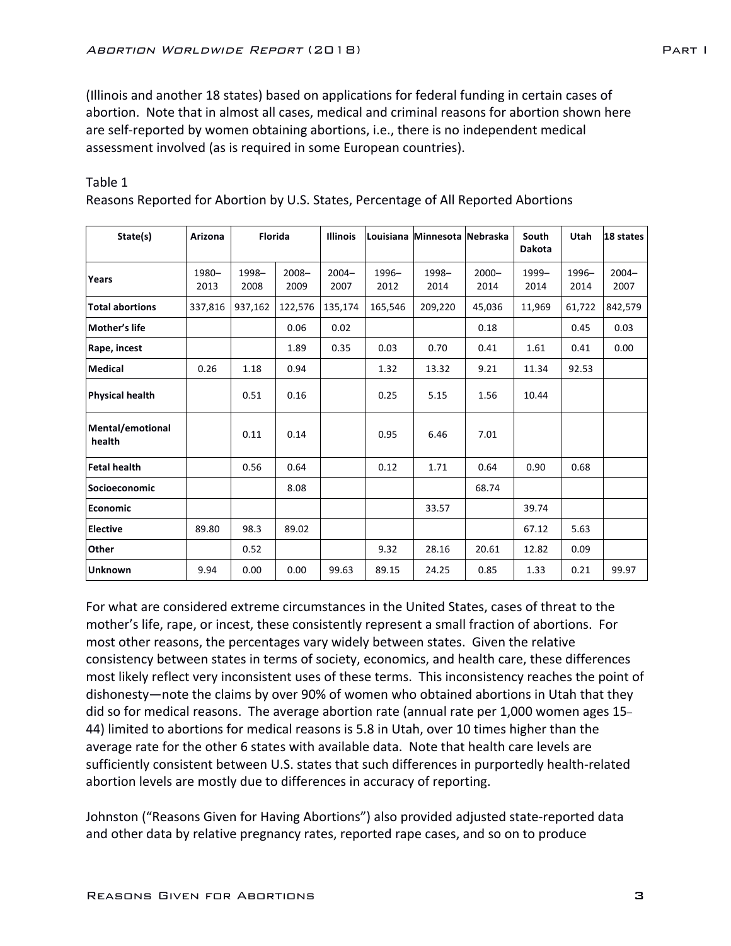(Illinois and another 18 states) based on applications for federal funding in certain cases of abortion. Note that in almost all cases, medical and criminal reasons for abortion shown here are self-reported by women obtaining abortions, i.e., there is no independent medical assessment involved (as is required in some European countries).

| State(s)                   | Arizona       | Florida       |                  | <b>Illinois</b>  |                  | Louisiana Minnesota Nebraska |                  | South<br><b>Dakota</b> | Utah             | 18 states        |
|----------------------------|---------------|---------------|------------------|------------------|------------------|------------------------------|------------------|------------------------|------------------|------------------|
| Years                      | 1980-<br>2013 | 1998-<br>2008 | $2008 -$<br>2009 | $2004 -$<br>2007 | $1996 -$<br>2012 | 1998-<br>2014                | $2000 -$<br>2014 | 1999-<br>2014          | $1996 -$<br>2014 | $2004 -$<br>2007 |
| <b>Total abortions</b>     | 337,816       | 937,162       | 122,576          | 135,174          | 165,546          | 209,220                      | 45,036           | 11,969                 | 61,722           | 842,579          |
| Mother's life              |               |               | 0.06             | 0.02             |                  |                              | 0.18             |                        | 0.45             | 0.03             |
| Rape, incest               |               |               | 1.89             | 0.35             | 0.03             | 0.70                         | 0.41             | 1.61                   | 0.41             | 0.00             |
| <b>Medical</b>             | 0.26          | 1.18          | 0.94             |                  | 1.32             | 13.32                        | 9.21             | 11.34                  | 92.53            |                  |
| <b>Physical health</b>     |               | 0.51          | 0.16             |                  | 0.25             | 5.15                         | 1.56             | 10.44                  |                  |                  |
| Mental/emotional<br>health |               | 0.11          | 0.14             |                  | 0.95             | 6.46                         | 7.01             |                        |                  |                  |
| <b>Fetal health</b>        |               | 0.56          | 0.64             |                  | 0.12             | 1.71                         | 0.64             | 0.90                   | 0.68             |                  |
| Socioeconomic              |               |               | 8.08             |                  |                  |                              | 68.74            |                        |                  |                  |
| <b>Economic</b>            |               |               |                  |                  |                  | 33.57                        |                  | 39.74                  |                  |                  |
| <b>Elective</b>            | 89.80         | 98.3          | 89.02            |                  |                  |                              |                  | 67.12                  | 5.63             |                  |
| Other                      |               | 0.52          |                  |                  | 9.32             | 28.16                        | 20.61            | 12.82                  | 0.09             |                  |
| <b>Unknown</b>             | 9.94          | 0.00          | 0.00             | 99.63            | 89.15            | 24.25                        | 0.85             | 1.33                   | 0.21             | 99.97            |

### Table 1

Reasons Reported for Abortion by U.S. States, Percentage of All Reported Abortions

For what are considered extreme circumstances in the United States, cases of threat to the mother's life, rape, or incest, these consistently represent a small fraction of abortions. For most other reasons, the percentages vary widely between states. Given the relative consistency between states in terms of society, economics, and health care, these differences most likely reflect very inconsistent uses of these terms. This inconsistency reaches the point of dishonesty—note the claims by over 90% of women who obtained abortions in Utah that they did so for medical reasons. The average abortion rate (annual rate per 1,000 women ages 15– 44) limited to abortions for medical reasons is 5.8 in Utah, over 10 times higher than the average rate for the other 6 states with available data. Note that health care levels are sufficiently consistent between U.S. states that such differences in purportedly health-related abortion levels are mostly due to differences in accuracy of reporting.

Johnston ("Reasons Given for Having Abortions") also provided adjusted state-reported data and other data by relative pregnancy rates, reported rape cases, and so on to produce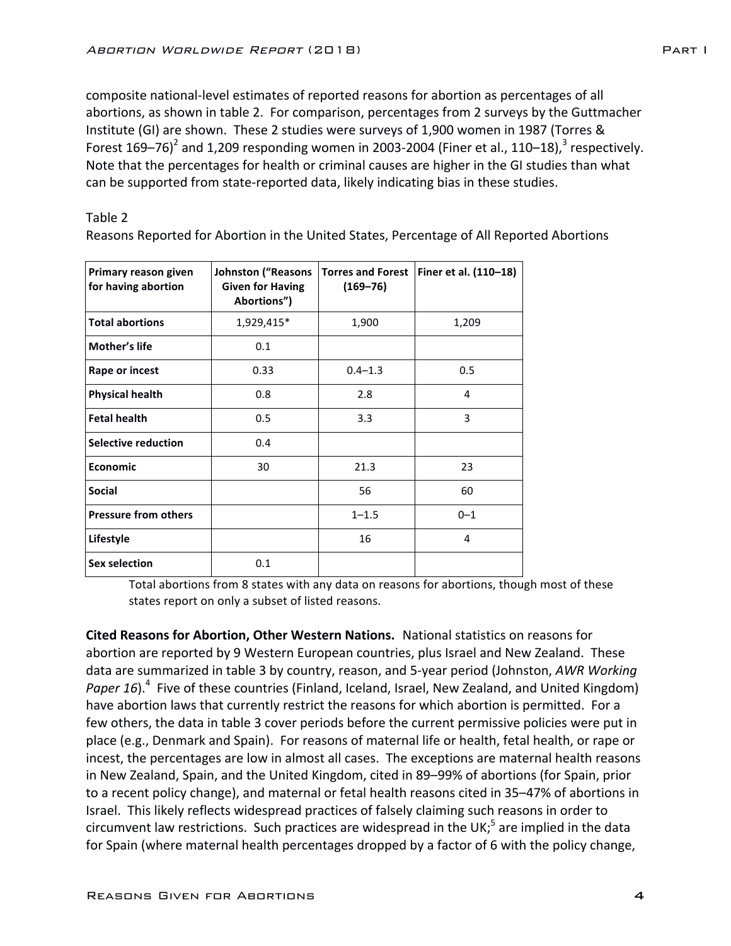composite national-level estimates of reported reasons for abortion as percentages of all abortions, as shown in table 2. For comparison, percentages from 2 surveys by the Guttmacher Institute (GI) are shown. These 2 studies were surveys of 1,900 women in 1987 (Torres & Forest 169–76)<sup>2</sup> and 1,209 responding women in 2003-2004 (Finer et al., 110–18),<sup>3</sup> respectively. Note that the percentages for health or criminal causes are higher in the GI studies than what can be supported from state-reported data, likely indicating bias in these studies.

Table 2

Reasons Reported for Abortion in the United States, Percentage of All Reported Abortions

| Primary reason given<br>for having abortion | Johnston ("Reasons<br><b>Given for Having</b><br>Abortions") | <b>Torres and Forest</b><br>$(169 - 76)$ | Finer et al. (110-18) |
|---------------------------------------------|--------------------------------------------------------------|------------------------------------------|-----------------------|
| <b>Total abortions</b>                      | 1,929,415*                                                   | 1,900                                    | 1,209                 |
| Mother's life                               | 0.1                                                          |                                          |                       |
| Rape or incest                              | 0.33                                                         | $0.4 - 1.3$                              | 0.5                   |
| <b>Physical health</b>                      | 0.8                                                          | 2.8                                      | 4                     |
| <b>Fetal health</b>                         | 0.5                                                          | 3.3                                      | 3                     |
| Selective reduction                         | 0.4                                                          |                                          |                       |
| Economic                                    | 30                                                           | 21.3                                     | 23                    |
| <b>Social</b>                               |                                                              | 56                                       | 60                    |
| <b>Pressure from others</b>                 |                                                              | $1 - 1.5$                                | $0 - 1$               |
| Lifestyle                                   |                                                              | 16                                       | 4                     |
| <b>Sex selection</b>                        | 0.1                                                          |                                          |                       |

Total abortions from 8 states with any data on reasons for abortions, though most of these states report on only a subset of listed reasons.

**Cited Reasons for Abortion, Other Western Nations.** National statistics on reasons for abortion are reported by 9 Western European countries, plus Israel and New Zealand. These data are summarized in table 3 by country, reason, and 5-year period (Johnston, AWR Working Paper 16).<sup>4</sup> Five of these countries (Finland, Iceland, Israel, New Zealand, and United Kingdom) have abortion laws that currently restrict the reasons for which abortion is permitted. For a few others, the data in table 3 cover periods before the current permissive policies were put in place (e.g., Denmark and Spain). For reasons of maternal life or health, fetal health, or rape or incest, the percentages are low in almost all cases. The exceptions are maternal health reasons in New Zealand, Spain, and the United Kingdom, cited in 89–99% of abortions (for Spain, prior to a recent policy change), and maternal or fetal health reasons cited in 35–47% of abortions in Israel. This likely reflects widespread practices of falsely claiming such reasons in order to circumvent law restrictions. Such practices are widespread in the UK;<sup>5</sup> are implied in the data for Spain (where maternal health percentages dropped by a factor of 6 with the policy change,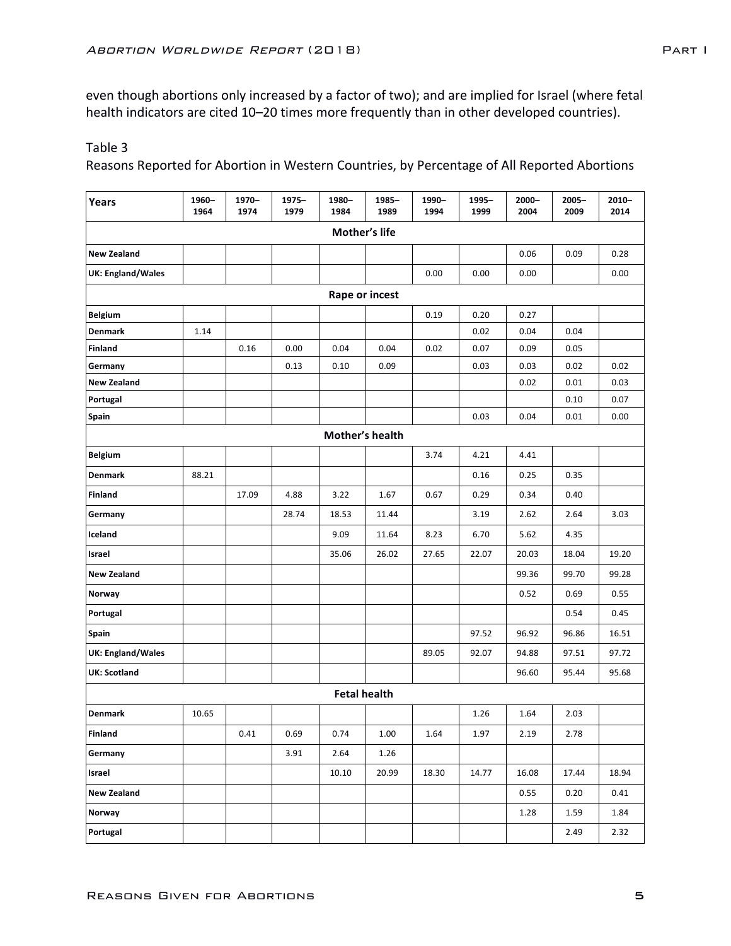even though abortions only increased by a factor of two); and are implied for Israel (where fetal health indicators are cited 10-20 times more frequently than in other developed countries).

## Table 3

Reasons Reported for Abortion in Western Countries, by Percentage of All Reported Abortions

| Years                    | 1960-<br>1964 | 1970-<br>1974 | $1975 -$<br>1979 | 1980-<br>1984 | 1985-<br>1989       | 1990-<br>1994 | 1995-<br>1999 | $2000 -$<br>2004 | $2005 -$<br>2009 | $2010 -$<br>2014 |
|--------------------------|---------------|---------------|------------------|---------------|---------------------|---------------|---------------|------------------|------------------|------------------|
|                          |               |               |                  |               | Mother's life       |               |               |                  |                  |                  |
| <b>New Zealand</b>       |               |               |                  |               |                     |               |               | 0.06             | 0.09             | 0.28             |
| <b>UK: England/Wales</b> |               |               |                  |               |                     | 0.00          | 0.00          | 0.00             |                  | 0.00             |
|                          |               |               |                  |               | Rape or incest      |               |               |                  |                  |                  |
| <b>Belgium</b>           |               |               |                  |               |                     | 0.19          | 0.20          | 0.27             |                  |                  |
| <b>Denmark</b>           | 1.14          |               |                  |               |                     |               | 0.02          | 0.04             | 0.04             |                  |
| Finland                  |               | 0.16          | 0.00             | 0.04          | 0.04                | 0.02          | 0.07          | 0.09             | 0.05             |                  |
| Germany                  |               |               | 0.13             | 0.10          | 0.09                |               | 0.03          | 0.03             | 0.02             | 0.02             |
| <b>New Zealand</b>       |               |               |                  |               |                     |               |               | 0.02             | 0.01             | 0.03             |
| Portugal                 |               |               |                  |               |                     |               |               |                  | 0.10             | 0.07             |
| Spain                    |               |               |                  |               |                     |               | 0.03          | 0.04             | 0.01             | 0.00             |
|                          |               |               |                  |               | Mother's health     |               |               |                  |                  |                  |
| <b>Belgium</b>           |               |               |                  |               |                     | 3.74          | 4.21          | 4.41             |                  |                  |
| <b>Denmark</b>           | 88.21         |               |                  |               |                     |               | 0.16          | 0.25             | 0.35             |                  |
| <b>Finland</b>           |               | 17.09         | 4.88             | 3.22          | 1.67                | 0.67          | 0.29          | 0.34             | 0.40             |                  |
| Germany                  |               |               | 28.74            | 18.53         | 11.44               |               | 3.19          | 2.62             | 2.64             | 3.03             |
| Iceland                  |               |               |                  | 9.09          | 11.64               | 8.23          | 6.70          | 5.62             | 4.35             |                  |
| Israel                   |               |               |                  | 35.06         | 26.02               | 27.65         | 22.07         | 20.03            | 18.04            | 19.20            |
| <b>New Zealand</b>       |               |               |                  |               |                     |               |               | 99.36            | 99.70            | 99.28            |
| Norway                   |               |               |                  |               |                     |               |               | 0.52             | 0.69             | 0.55             |
| Portugal                 |               |               |                  |               |                     |               |               |                  | 0.54             | 0.45             |
| Spain                    |               |               |                  |               |                     |               | 97.52         | 96.92            | 96.86            | 16.51            |
| <b>UK: England/Wales</b> |               |               |                  |               |                     | 89.05         | 92.07         | 94.88            | 97.51            | 97.72            |
| <b>UK: Scotland</b>      |               |               |                  |               |                     |               |               | 96.60            | 95.44            | 95.68            |
|                          |               |               |                  |               | <b>Fetal health</b> |               |               |                  |                  |                  |
| Denmark                  | 10.65         |               |                  |               |                     |               | 1.26          | 1.64             | 2.03             |                  |
| Finland                  |               | 0.41          | 0.69             | 0.74          | 1.00                | 1.64          | 1.97          | 2.19             | 2.78             |                  |
| Germany                  |               |               | 3.91             | 2.64          | 1.26                |               |               |                  |                  |                  |
| Israel                   |               |               |                  | 10.10         | 20.99               | 18.30         | 14.77         | 16.08            | 17.44            | 18.94            |
| <b>New Zealand</b>       |               |               |                  |               |                     |               |               | 0.55             | 0.20             | 0.41             |
| Norway                   |               |               |                  |               |                     |               |               | 1.28             | 1.59             | 1.84             |
| Portugal                 |               |               |                  |               |                     |               |               |                  | 2.49             | 2.32             |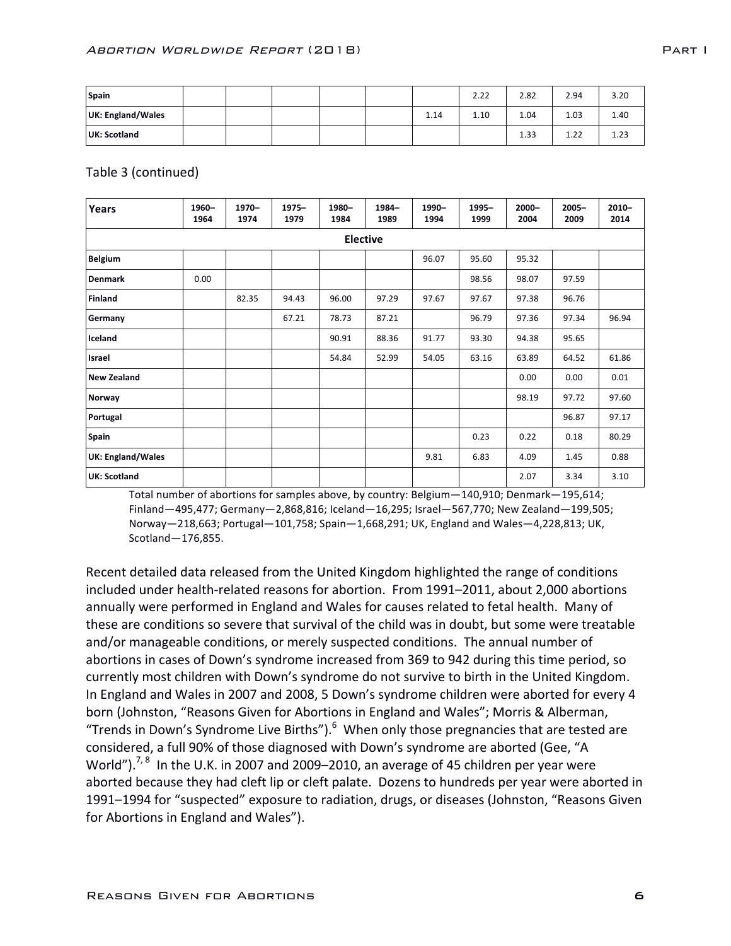| Spain             |  |  |      | 2.22 | 2.82 | 2.94 | 3.20           |
|-------------------|--|--|------|------|------|------|----------------|
| UK: England/Wales |  |  | 1.14 | 1.10 | 1.04 | 1.03 | 1.40           |
| UK: Scotland      |  |  |      |      | 1.33 | 1.22 | 122<br>ر ے . ر |

Table 3 (continued)

| Years               | 1960-<br>1964 | 1970-<br>1974 | $1975 -$<br>1979 | 1980-<br>1984   | 1984-<br>1989 | 1990-<br>1994 | $1995 -$<br>1999 | $2000 -$<br>2004 | $2005 -$<br>2009 | $2010 -$<br>2014 |
|---------------------|---------------|---------------|------------------|-----------------|---------------|---------------|------------------|------------------|------------------|------------------|
|                     |               |               |                  | <b>Elective</b> |               |               |                  |                  |                  |                  |
| <b>Belgium</b>      |               |               |                  |                 |               | 96.07         | 95.60            | 95.32            |                  |                  |
| <b>Denmark</b>      | 0.00          |               |                  |                 |               |               | 98.56            | 98.07            | 97.59            |                  |
| <b>Finland</b>      |               | 82.35         | 94.43            | 96.00           | 97.29         | 97.67         | 97.67            | 97.38            | 96.76            |                  |
| Germany             |               |               | 67.21            | 78.73           | 87.21         |               | 96.79            | 97.36            | 97.34            | 96.94            |
| Iceland             |               |               |                  | 90.91           | 88.36         | 91.77         | 93.30            | 94.38            | 95.65            |                  |
| Israel              |               |               |                  | 54.84           | 52.99         | 54.05         | 63.16            | 63.89            | 64.52            | 61.86            |
| <b>New Zealand</b>  |               |               |                  |                 |               |               |                  | 0.00             | 0.00             | 0.01             |
| Norway              |               |               |                  |                 |               |               |                  | 98.19            | 97.72            | 97.60            |
| Portugal            |               |               |                  |                 |               |               |                  |                  | 96.87            | 97.17            |
| Spain               |               |               |                  |                 |               |               | 0.23             | 0.22             | 0.18             | 80.29            |
| UK: England/Wales   |               |               |                  |                 |               | 9.81          | 6.83             | 4.09             | 1.45             | 0.88             |
| <b>UK: Scotland</b> |               |               |                  |                 |               |               |                  | 2.07             | 3.34             | 3.10             |

Total number of abortions for samples above, by country: Belgium - 140,910; Denmark - 195,614;  $Finland -495,477$ ;  $Germany - 2,868,816$ ; Iceland $-16,295$ ; Israel $-567,770$ ; New Zealand $-199,505$ ; Norway-218,663; Portugal-101,758; Spain-1,668,291; UK, England and Wales-4,228,813; UK, Scotland—176,855.

Recent detailed data released from the United Kingdom highlighted the range of conditions included under health-related reasons for abortion. From 1991–2011, about 2,000 abortions annually were performed in England and Wales for causes related to fetal health. Many of these are conditions so severe that survival of the child was in doubt, but some were treatable and/or manageable conditions, or merely suspected conditions. The annual number of abortions in cases of Down's syndrome increased from 369 to 942 during this time period, so currently most children with Down's syndrome do not survive to birth in the United Kingdom. In England and Wales in 2007 and 2008, 5 Down's syndrome children were aborted for every 4 born (Johnston, "Reasons Given for Abortions in England and Wales"; Morris & Alberman, "Trends in Down's Syndrome Live Births").  $6$  When only those pregnancies that are tested are considered, a full 90% of those diagnosed with Down's syndrome are aborted (Gee, "A World"). $^{7,8}$  In the U.K. in 2007 and 2009–2010, an average of 45 children per year were aborted because they had cleft lip or cleft palate. Dozens to hundreds per year were aborted in 1991–1994 for "suspected" exposure to radiation, drugs, or diseases (Johnston, "Reasons Given for Abortions in England and Wales").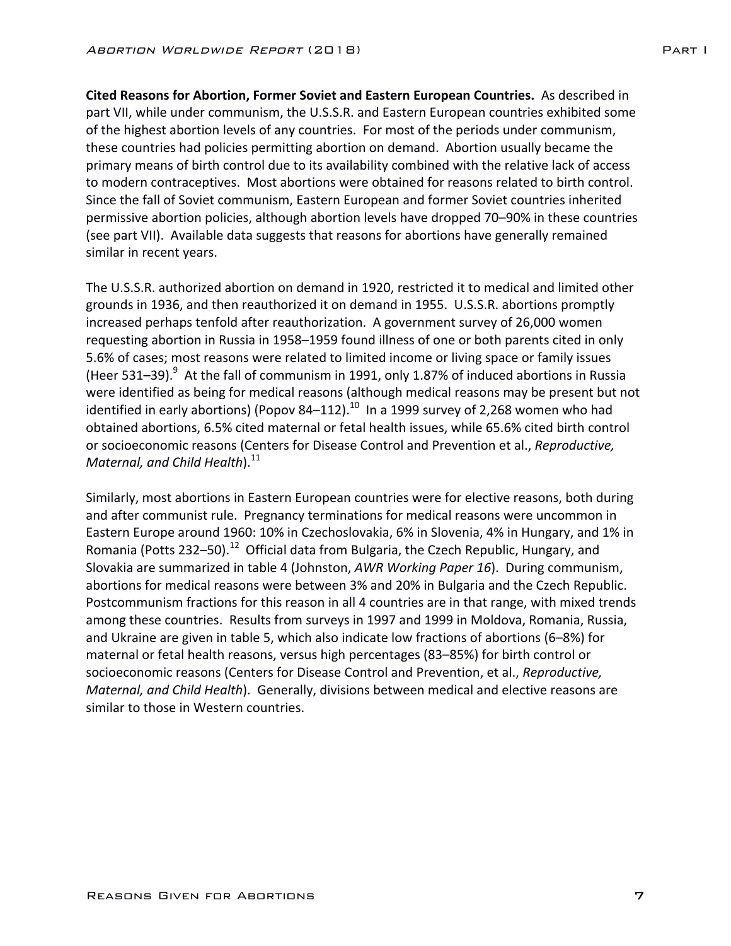**Cited Reasons for Abortion, Former Soviet and Eastern European Countries.** As described in part VII, while under communism, the U.S.S.R. and Eastern European countries exhibited some of the highest abortion levels of any countries. For most of the periods under communism, these countries had policies permitting abortion on demand. Abortion usually became the primary means of birth control due to its availability combined with the relative lack of access to modern contraceptives. Most abortions were obtained for reasons related to birth control. Since the fall of Soviet communism, Eastern European and former Soviet countries inherited permissive abortion policies, although abortion levels have dropped 70–90% in these countries (see part VII). Available data suggests that reasons for abortions have generally remained similar in recent years.

The U.S.S.R. authorized abortion on demand in 1920, restricted it to medical and limited other grounds in 1936, and then reauthorized it on demand in 1955. U.S.S.R. abortions promptly increased perhaps tenfold after reauthorization. A government survey of 26,000 women requesting abortion in Russia in 1958–1959 found illness of one or both parents cited in only 5.6% of cases; most reasons were related to limited income or living space or family issues (Heer 531–39). $^9$  At the fall of communism in 1991, only 1.87% of induced abortions in Russia were identified as being for medical reasons (although medical reasons may be present but not identified in early abortions) (Popov 84–112).<sup>10</sup> In a 1999 survey of 2,268 women who had obtained abortions, 6.5% cited maternal or fetal health issues, while 65.6% cited birth control or socioeconomic reasons (Centers for Disease Control and Prevention et al., *Reproductive*, Maternal, and Child Health).<sup>11</sup>

Similarly, most abortions in Eastern European countries were for elective reasons, both during and after communist rule. Pregnancy terminations for medical reasons were uncommon in Eastern Europe around 1960: 10% in Czechoslovakia, 6% in Slovenia, 4% in Hungary, and 1% in Romania (Potts 232–50).<sup>12</sup> Official data from Bulgaria, the Czech Republic, Hungary, and Slovakia are summarized in table 4 (Johnston, *AWR Working Paper 16*). During communism, abortions for medical reasons were between 3% and 20% in Bulgaria and the Czech Republic. Postcommunism fractions for this reason in all 4 countries are in that range, with mixed trends among these countries. Results from surveys in 1997 and 1999 in Moldova, Romania, Russia, and Ukraine are given in table 5, which also indicate low fractions of abortions  $(6-8%)$  for maternal or fetal health reasons, versus high percentages (83–85%) for birth control or socioeconomic reasons (Centers for Disease Control and Prevention, et al., *Reproductive*, *Maternal, and Child Health*). Generally, divisions between medical and elective reasons are similar to those in Western countries.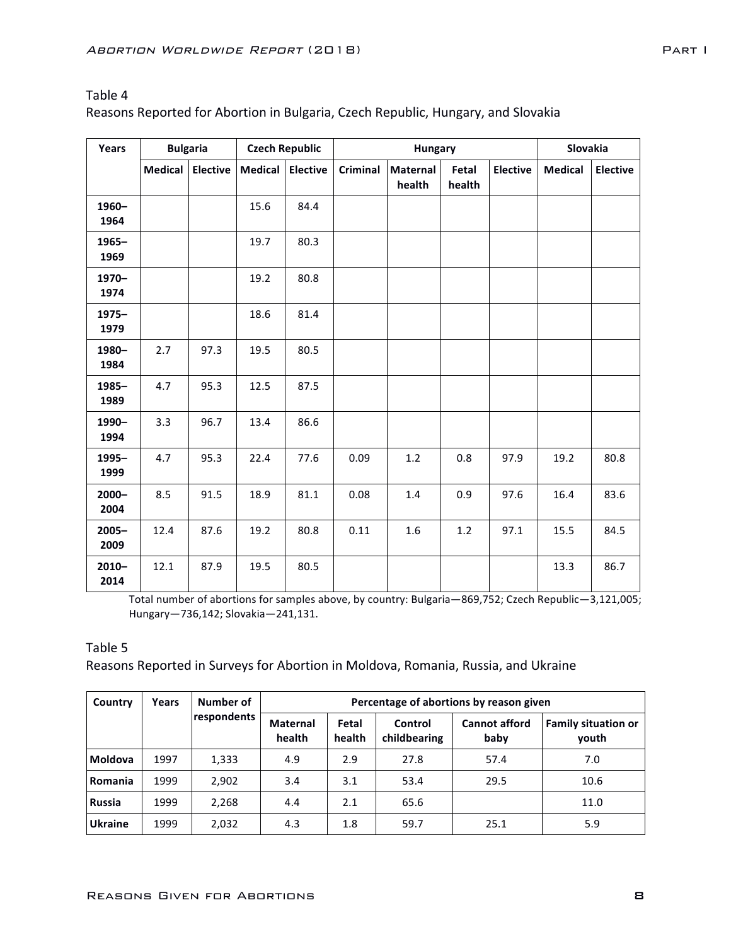# Table 4

Reasons Reported for Abortion in Bulgaria, Czech Republic, Hungary, and Slovakia

| Years            |         | <b>Bulgaria</b> |                | <b>Czech Republic</b> |                 | <b>Hungary</b>     | Slovakia        |                 |                |                 |
|------------------|---------|-----------------|----------------|-----------------------|-----------------|--------------------|-----------------|-----------------|----------------|-----------------|
|                  | Medical | <b>Elective</b> | <b>Medical</b> | <b>Elective</b>       | <b>Criminal</b> | Maternal<br>health | Fetal<br>health | <b>Elective</b> | <b>Medical</b> | <b>Elective</b> |
| 1960-<br>1964    |         |                 | 15.6           | 84.4                  |                 |                    |                 |                 |                |                 |
| 1965-<br>1969    |         |                 | 19.7           | 80.3                  |                 |                    |                 |                 |                |                 |
| 1970-<br>1974    |         |                 | 19.2           | 80.8                  |                 |                    |                 |                 |                |                 |
| $1975 -$<br>1979 |         |                 | 18.6           | 81.4                  |                 |                    |                 |                 |                |                 |
| 1980-<br>1984    | 2.7     | 97.3            | 19.5           | 80.5                  |                 |                    |                 |                 |                |                 |
| $1985 -$<br>1989 | 4.7     | 95.3            | 12.5           | 87.5                  |                 |                    |                 |                 |                |                 |
| 1990-<br>1994    | 3.3     | 96.7            | 13.4           | 86.6                  |                 |                    |                 |                 |                |                 |
| 1995-<br>1999    | 4.7     | 95.3            | 22.4           | 77.6                  | 0.09            | $1.2$              | 0.8             | 97.9            | 19.2           | 80.8            |
| $2000 -$<br>2004 | 8.5     | 91.5            | 18.9           | 81.1                  | 0.08            | 1.4                | 0.9             | 97.6            | 16.4           | 83.6            |
| $2005 -$<br>2009 | 12.4    | 87.6            | 19.2           | 80.8                  | 0.11            | 1.6                | 1.2             | 97.1            | 15.5           | 84.5            |
| $2010 -$<br>2014 | 12.1    | 87.9            | 19.5           | 80.5                  |                 |                    |                 |                 | 13.3           | 86.7            |

Total number of abortions for samples above, by country: Bulgaria-869,752; Czech Republic-3,121,005; Hungary—736,142; Slovakia—241,131.

### Table 5

Reasons Reported in Surveys for Abortion in Moldova, Romania, Russia, and Ukraine

| Country        | Years | Number of   |                           |                 |                         | Percentage of abortions by reason given |                                     |
|----------------|-------|-------------|---------------------------|-----------------|-------------------------|-----------------------------------------|-------------------------------------|
|                |       | respondents | <b>Maternal</b><br>health | Fetal<br>health | Control<br>childbearing | <b>Cannot afford</b><br>baby            | <b>Family situation or</b><br>vouth |
| <b>Moldova</b> | 1997  | 1,333       | 4.9                       | 2.9             | 27.8                    | 57.4                                    | 7.0                                 |
| Romania        | 1999  | 2,902       | 3.4                       | 3.1             | 53.4                    | 29.5                                    | 10.6                                |
| <b>Russia</b>  | 1999  | 2,268       | 4.4                       | 2.1             | 65.6                    |                                         | 11.0                                |
| <b>Ukraine</b> | 1999  | 2,032       | 4.3                       | 1.8             | 59.7                    | 25.1                                    | 5.9                                 |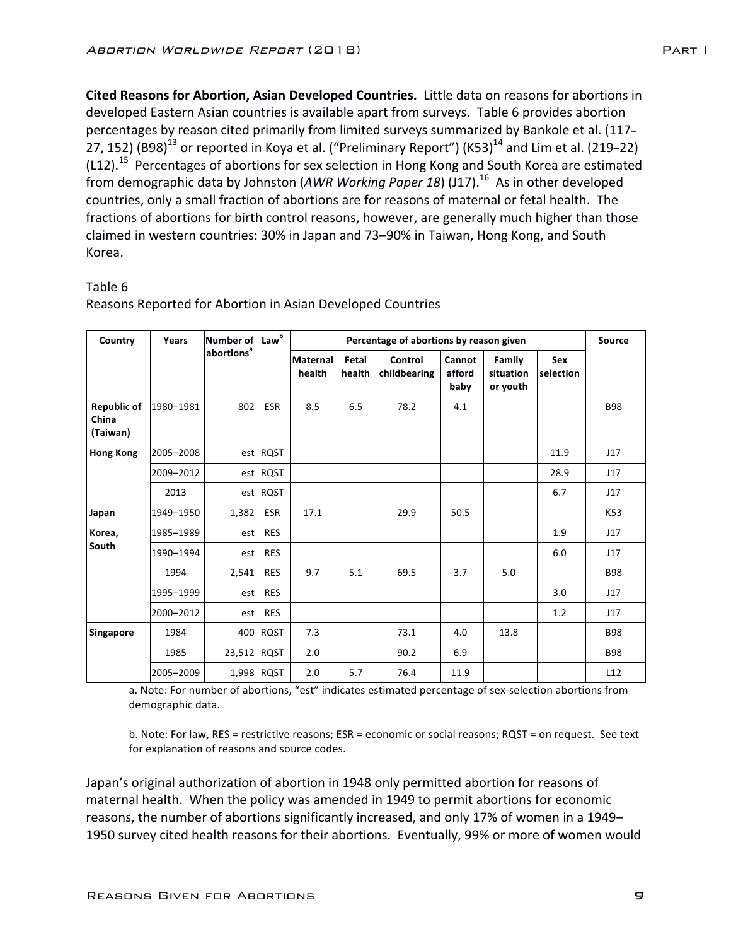**Cited Reasons for Abortion, Asian Developed Countries.** Little data on reasons for abortions in developed Eastern Asian countries is available apart from surveys. Table 6 provides abortion percentages by reason cited primarily from limited surveys summarized by Bankole et al. (117-27, 152) (B98)<sup>13</sup> or reported in Koya et al. ("Preliminary Report") (K53)<sup>14</sup> and Lim et al. (219–22)  $(L12).$ <sup>15</sup> Percentages of abortions for sex selection in Hong Kong and South Korea are estimated from demographic data by Johnston (A*WR Working Paper 18*) (J17).<sup>16</sup> As in other developed countries, only a small fraction of abortions are for reasons of maternal or fetal health. The fractions of abortions for birth control reasons, however, are generally much higher than those claimed in western countries: 30% in Japan and 73-90% in Taiwan, Hong Kong, and South Korea.

## Table 6

| Country                                 | Years     | Number of              | Lawb       |                           | Percentage of abortions by reason given |                         |                          |                                 |                         |            |  |  |  |  |  |
|-----------------------------------------|-----------|------------------------|------------|---------------------------|-----------------------------------------|-------------------------|--------------------------|---------------------------------|-------------------------|------------|--|--|--|--|--|
|                                         |           | abortions <sup>a</sup> |            | <b>Maternal</b><br>health | Fetal<br>health                         | Control<br>childbearing | Cannot<br>afford<br>baby | Family<br>situation<br>or youth | <b>Sex</b><br>selection |            |  |  |  |  |  |
| <b>Republic of</b><br>China<br>(Taiwan) | 1980-1981 | 802                    | <b>ESR</b> | 8.5                       | 6.5                                     | 78.2                    | 4.1                      |                                 |                         | <b>B98</b> |  |  |  |  |  |
| <b>Hong Kong</b>                        | 2005-2008 |                        | est RQST   |                           |                                         |                         |                          |                                 | 11.9                    | 117        |  |  |  |  |  |
|                                         | 2009-2012 |                        | est RQST   |                           |                                         |                         |                          |                                 | 28.9                    | J17        |  |  |  |  |  |
|                                         | 2013      |                        | est RQST   |                           |                                         |                         |                          |                                 | 6.7                     | J17        |  |  |  |  |  |
| Japan                                   | 1949-1950 | 1,382                  | <b>ESR</b> | 17.1                      |                                         | 29.9                    | 50.5                     |                                 |                         | K53        |  |  |  |  |  |
| Korea,                                  | 1985-1989 | est                    | <b>RES</b> |                           |                                         |                         |                          |                                 | 1.9                     | J17        |  |  |  |  |  |
| South                                   | 1990-1994 | est                    | <b>RES</b> |                           |                                         |                         |                          |                                 | 6.0                     | J17        |  |  |  |  |  |
|                                         | 1994      | 2,541                  | <b>RES</b> | 9.7                       | 5.1                                     | 69.5                    | 3.7                      | 5.0                             |                         | <b>B98</b> |  |  |  |  |  |
|                                         | 1995-1999 | est                    | <b>RES</b> |                           |                                         |                         |                          |                                 | 3.0                     | J17        |  |  |  |  |  |
|                                         | 2000-2012 | est                    | <b>RES</b> |                           |                                         |                         |                          |                                 | 1.2                     | J17        |  |  |  |  |  |
| Singapore                               | 1984      |                        | 400 RQST   | 7.3                       |                                         | 73.1                    | 4.0                      | 13.8                            |                         | <b>B98</b> |  |  |  |  |  |
|                                         | 1985      | 23,512 RQST            |            | 2.0                       |                                         | 90.2                    | 6.9                      |                                 |                         | <b>B98</b> |  |  |  |  |  |
|                                         | 2005-2009 |                        | 1,998 RQST | 2.0                       | 5.7                                     | 76.4                    | 11.9                     |                                 |                         | L12        |  |  |  |  |  |

Reasons Reported for Abortion in Asian Developed Countries

a. Note: For number of abortions, "est" indicates estimated percentage of sex-selection abortions from demographic data.

b. Note: For law, RES = restrictive reasons; ESR = economic or social reasons; RQST = on request. See text for explanation of reasons and source codes.

Japan's original authorization of abortion in 1948 only permitted abortion for reasons of maternal health. When the policy was amended in 1949 to permit abortions for economic reasons, the number of abortions significantly increased, and only 17% of women in a 1949– 1950 survey cited health reasons for their abortions. Eventually, 99% or more of women would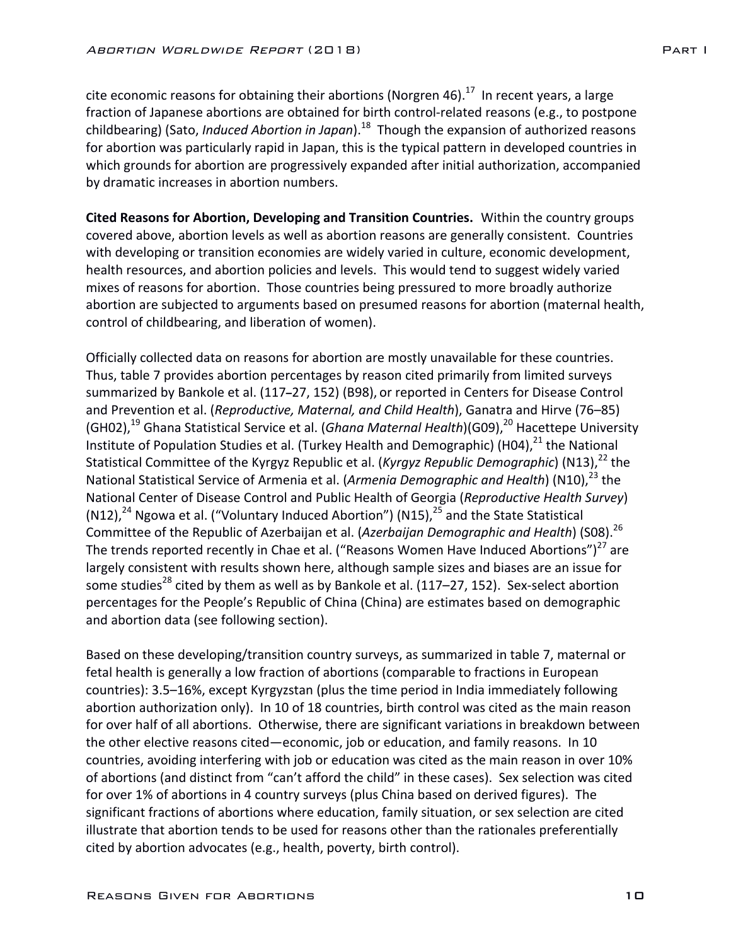cite economic reasons for obtaining their abortions (Norgren 46).<sup>17</sup> In recent years, a large fraction of Japanese abortions are obtained for birth control-related reasons (e.g., to postpone childbearing) (Sato, *Induced Abortion in Japan*).<sup>18</sup> Though the expansion of authorized reasons for abortion was particularly rapid in Japan, this is the typical pattern in developed countries in which grounds for abortion are progressively expanded after initial authorization, accompanied by dramatic increases in abortion numbers.

**Cited Reasons for Abortion, Developing and Transition Countries.** Within the country groups covered above, abortion levels as well as abortion reasons are generally consistent. Countries with developing or transition economies are widely varied in culture, economic development, health resources, and abortion policies and levels. This would tend to suggest widely varied mixes of reasons for abortion. Those countries being pressured to more broadly authorize abortion are subjected to arguments based on presumed reasons for abortion (maternal health, control of childbearing, and liberation of women).

Officially collected data on reasons for abortion are mostly unavailable for these countries. Thus, table 7 provides abortion percentages by reason cited primarily from limited surveys summarized by Bankole et al. (117-27, 152) (B98), or reported in Centers for Disease Control and Prevention et al. (*Reproductive, Maternal, and Child Health*), Ganatra and Hirve (76–85) (GH02),<sup>19</sup> Ghana Statistical Service et al. (*Ghana Maternal Health*)(G09),<sup>20</sup> Hacettepe University Institute of Population Studies et al. (Turkey Health and Demographic) (H04),<sup>21</sup> the National Statistical Committee of the Kyrgyz Republic et al. (*Kyrgyz Republic Demographic*) (N13),<sup>22</sup> the National Statistical Service of Armenia et al. (*Armenia Demographic and Health*) (N10),<sup>23</sup> the National Center of Disease Control and Public Health of Georgia (*Reproductive Health Survey*) (N12),<sup>24</sup> Ngowa et al. ("Voluntary Induced Abortion") (N15),<sup>25</sup> and the State Statistical Committee of the Republic of Azerbaijan et al. (Azerbaijan Demographic and Health) (S08).<sup>26</sup> The trends reported recently in Chae et al. ("Reasons Women Have Induced Abortions")<sup>27</sup> are largely consistent with results shown here, although sample sizes and biases are an issue for some studies<sup>28</sup> cited by them as well as by Bankole et al. (117–27, 152). Sex-select abortion percentages for the People's Republic of China (China) are estimates based on demographic and abortion data (see following section).

Based on these developing/transition country surveys, as summarized in table 7, maternal or fetal health is generally a low fraction of abortions (comparable to fractions in European countries): 3.5–16%, except Kyrgyzstan (plus the time period in India immediately following abortion authorization only). In 10 of 18 countries, birth control was cited as the main reason for over half of all abortions. Otherwise, there are significant variations in breakdown between the other elective reasons cited—economic, job or education, and family reasons. In 10 countries, avoiding interfering with job or education was cited as the main reason in over 10% of abortions (and distinct from "can't afford the child" in these cases). Sex selection was cited for over 1% of abortions in 4 country surveys (plus China based on derived figures). The significant fractions of abortions where education, family situation, or sex selection are cited illustrate that abortion tends to be used for reasons other than the rationales preferentially cited by abortion advocates (e.g., health, poverty, birth control).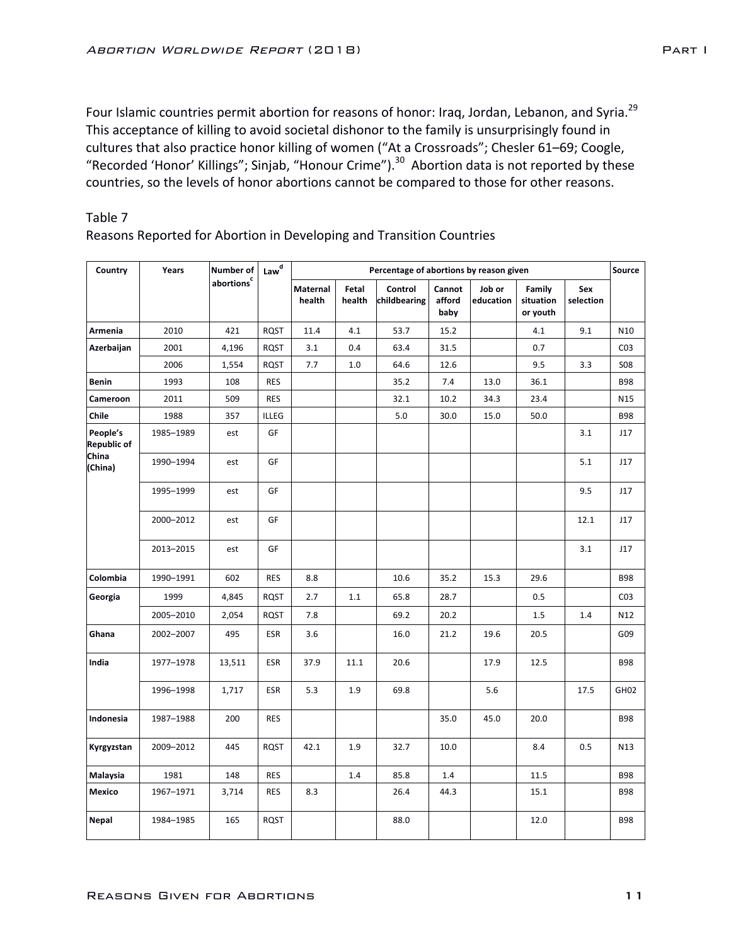Four Islamic countries permit abortion for reasons of honor: Iraq, Jordan, Lebanon, and Syria.<sup>29</sup> This acceptance of killing to avoid societal dishonor to the family is unsurprisingly found in cultures that also practice honor killing of women ("At a Crossroads"; Chesler 61-69; Coogle, "Recorded 'Honor' Killings"; Sinjab, "Honour Crime").<sup>30</sup> Abortion data is not reported by these countries, so the levels of honor abortions cannot be compared to those for other reasons.

Reasons Reported for Abortion in Developing and Transition Countries

| Country                        | Years     | Number of | $\mathsf{Law}^\mathsf{d}$ | Percentage of abortions by reason given |                 |                         |                          |                     |                                 |                  |                  |  |  |
|--------------------------------|-----------|-----------|---------------------------|-----------------------------------------|-----------------|-------------------------|--------------------------|---------------------|---------------------------------|------------------|------------------|--|--|
|                                |           | abortions |                           | <b>Maternal</b><br>health               | Fetal<br>health | Control<br>childbearing | Cannot<br>afford<br>baby | Job or<br>education | Family<br>situation<br>or youth | Sex<br>selection |                  |  |  |
| Armenia                        | 2010      | 421       | <b>RQST</b>               | 11.4                                    | 4.1             | 53.7                    | 15.2                     |                     | 4.1                             | 9.1              | N <sub>10</sub>  |  |  |
| Azerbaijan                     | 2001      | 4,196     | <b>RQST</b>               | 3.1                                     | 0.4             | 63.4                    | 31.5                     |                     | 0.7                             |                  | CO <sub>3</sub>  |  |  |
|                                | 2006      | 1,554     | <b>RQST</b>               | 7.7                                     | 1.0             | 64.6                    | 12.6                     |                     | 9.5                             | 3.3              | <b>S08</b>       |  |  |
| <b>Benin</b>                   | 1993      | 108       | <b>RES</b>                |                                         |                 | 35.2                    | 7.4                      | 13.0                | 36.1                            |                  | <b>B98</b>       |  |  |
| Cameroon                       | 2011      | 509       | <b>RES</b>                |                                         |                 | 32.1                    | 10.2                     | 34.3                | 23.4                            |                  | N15              |  |  |
| Chile                          | 1988      | 357       | <b>ILLEG</b>              |                                         |                 | 5.0                     | 30.0                     | 15.0                | 50.0                            |                  | <b>B98</b>       |  |  |
| People's<br><b>Republic of</b> | 1985-1989 | est       | GF                        |                                         |                 |                         |                          |                     |                                 | 3.1              | J17              |  |  |
| China<br>(China)               | 1990-1994 | est       | GF                        |                                         |                 |                         |                          |                     |                                 | 5.1              | J17              |  |  |
|                                | 1995-1999 | est       | GF                        |                                         |                 |                         |                          |                     |                                 | 9.5              | J17              |  |  |
|                                | 2000-2012 | est       | GF                        |                                         |                 |                         |                          |                     |                                 | 12.1             | J17              |  |  |
|                                | 2013-2015 | est       | GF                        |                                         |                 |                         |                          |                     |                                 | 3.1              | J17              |  |  |
| Colombia                       | 1990-1991 | 602       | <b>RES</b>                | 8.8                                     |                 | 10.6                    | 35.2                     | 15.3                | 29.6                            |                  | <b>B98</b>       |  |  |
| Georgia                        | 1999      | 4,845     | <b>RQST</b>               | 2.7                                     | 1.1             | 65.8                    | 28.7                     |                     | 0.5                             |                  | CO <sub>3</sub>  |  |  |
|                                | 2005-2010 | 2,054     | <b>RQST</b>               | 7.8                                     |                 | 69.2                    | 20.2                     |                     | 1.5                             | 1.4              | N12              |  |  |
| Ghana                          | 2002-2007 | 495       | <b>ESR</b>                | 3.6                                     |                 | 16.0                    | 21.2                     | 19.6                | 20.5                            |                  | G09              |  |  |
| India                          | 1977-1978 | 13,511    | <b>ESR</b>                | 37.9                                    | 11.1            | 20.6                    |                          | 17.9                | 12.5                            |                  | <b>B98</b>       |  |  |
|                                | 1996-1998 | 1,717     | <b>ESR</b>                | 5.3                                     | 1.9             | 69.8                    |                          | 5.6                 |                                 | 17.5             | GH <sub>02</sub> |  |  |
| Indonesia                      | 1987-1988 | 200       | <b>RES</b>                |                                         |                 |                         | 35.0                     | 45.0                | 20.0                            |                  | <b>B98</b>       |  |  |
| Kyrgyzstan                     | 2009-2012 | 445       | RQST                      | 42.1                                    | 1.9             | 32.7                    | 10.0                     |                     | 8.4                             | 0.5              | N <sub>13</sub>  |  |  |
| Malaysia                       | 1981      | 148       | <b>RES</b>                |                                         | 1.4             | 85.8                    | 1.4                      |                     | 11.5                            |                  | <b>B98</b>       |  |  |
| Mexico                         | 1967-1971 | 3,714     | <b>RES</b>                | 8.3                                     |                 | 26.4                    | 44.3                     |                     | 15.1                            |                  | <b>B98</b>       |  |  |
| <b>Nepal</b>                   | 1984-1985 | 165       | <b>RQST</b>               |                                         |                 | 88.0                    |                          |                     | 12.0                            |                  | <b>B98</b>       |  |  |

# Table 7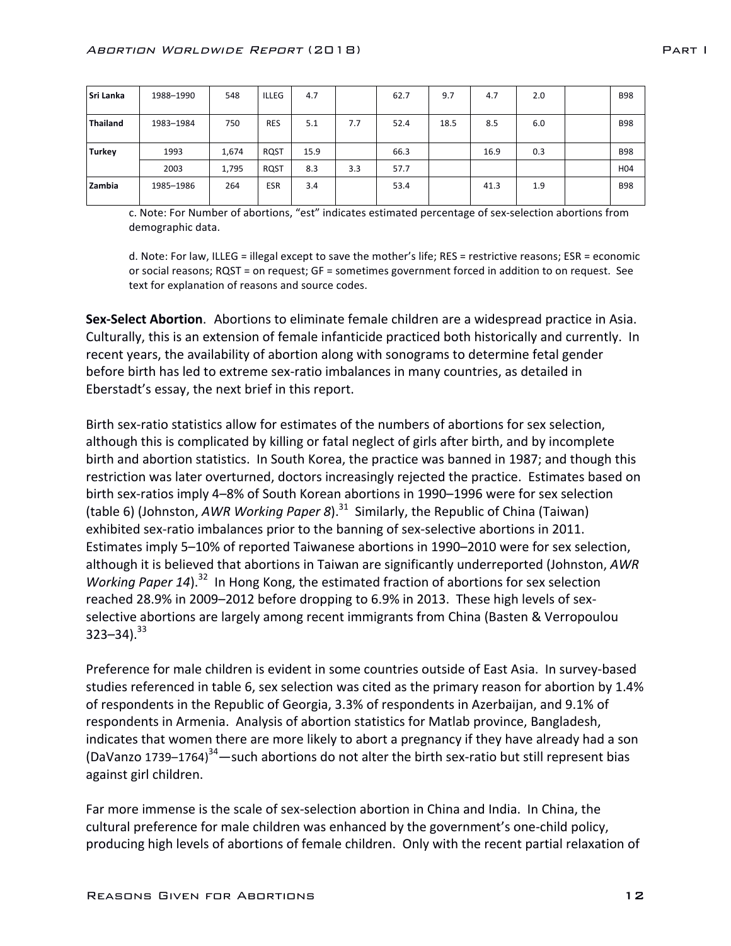| <b>Sri Lanka</b> | 1988-1990 | 548   | <b>ILLEG</b> | 4.7  |     | 62.7 | 9.7  | 4.7  | 2.0 | <b>B98</b>      |
|------------------|-----------|-------|--------------|------|-----|------|------|------|-----|-----------------|
| <b>Thailand</b>  | 1983-1984 | 750   | <b>RES</b>   | 5.1  | 7.7 | 52.4 | 18.5 | 8.5  | 6.0 | <b>B98</b>      |
| <b>Turkey</b>    | 1993      | 1,674 | <b>RQST</b>  | 15.9 |     | 66.3 |      | 16.9 | 0.3 | <b>B98</b>      |
|                  | 2003      | 1,795 | RQST         | 8.3  | 3.3 | 57.7 |      |      |     | H <sub>04</sub> |
| Zambia           | 1985-1986 | 264   | <b>ESR</b>   | 3.4  |     | 53.4 |      | 41.3 | 1.9 | <b>B98</b>      |

c. Note: For Number of abortions, "est" indicates estimated percentage of sex-selection abortions from demographic data.

d. Note: For law, ILLEG = illegal except to save the mother's life; RES = restrictive reasons; ESR = economic or social reasons; RQST = on request; GF = sometimes government forced in addition to on request. See text for explanation of reasons and source codes.

**Sex-Select Abortion.** Abortions to eliminate female children are a widespread practice in Asia. Culturally, this is an extension of female infanticide practiced both historically and currently. In recent years, the availability of abortion along with sonograms to determine fetal gender before birth has led to extreme sex-ratio imbalances in many countries, as detailed in Eberstadt's essay, the next brief in this report.

Birth sex-ratio statistics allow for estimates of the numbers of abortions for sex selection, although this is complicated by killing or fatal neglect of girls after birth, and by incomplete birth and abortion statistics. In South Korea, the practice was banned in 1987; and though this restriction was later overturned, doctors increasingly rejected the practice. Estimates based on birth sex-ratios imply 4–8% of South Korean abortions in 1990–1996 were for sex selection (table 6) (Johnston, AWR Working Paper 8).<sup>31</sup> Similarly, the Republic of China (Taiwan) exhibited sex-ratio imbalances prior to the banning of sex-selective abortions in 2011. Estimates imply 5-10% of reported Taiwanese abortions in 1990-2010 were for sex selection, although it is believed that abortions in Taiwan are significantly underreported (Johnston, AWR *Working Paper 14*).<sup>32</sup> In Hong Kong, the estimated fraction of abortions for sex selection reached 28.9% in 2009–2012 before dropping to 6.9% in 2013. These high levels of sexselective abortions are largely among recent immigrants from China (Basten & Verropoulou  $323 - 34$ ).<sup>33</sup>

Preference for male children is evident in some countries outside of East Asia. In survey-based studies referenced in table 6, sex selection was cited as the primary reason for abortion by 1.4% of respondents in the Republic of Georgia, 3.3% of respondents in Azerbaijan, and 9.1% of respondents in Armenia. Analysis of abortion statistics for Matlab province, Bangladesh, indicates that women there are more likely to abort a pregnancy if they have already had a son (DaVanzo 1739–1764)<sup>34</sup> —such abortions do not alter the birth sex-ratio but still represent bias against girl children.

Far more immense is the scale of sex-selection abortion in China and India. In China, the cultural preference for male children was enhanced by the government's one-child policy, producing high levels of abortions of female children. Only with the recent partial relaxation of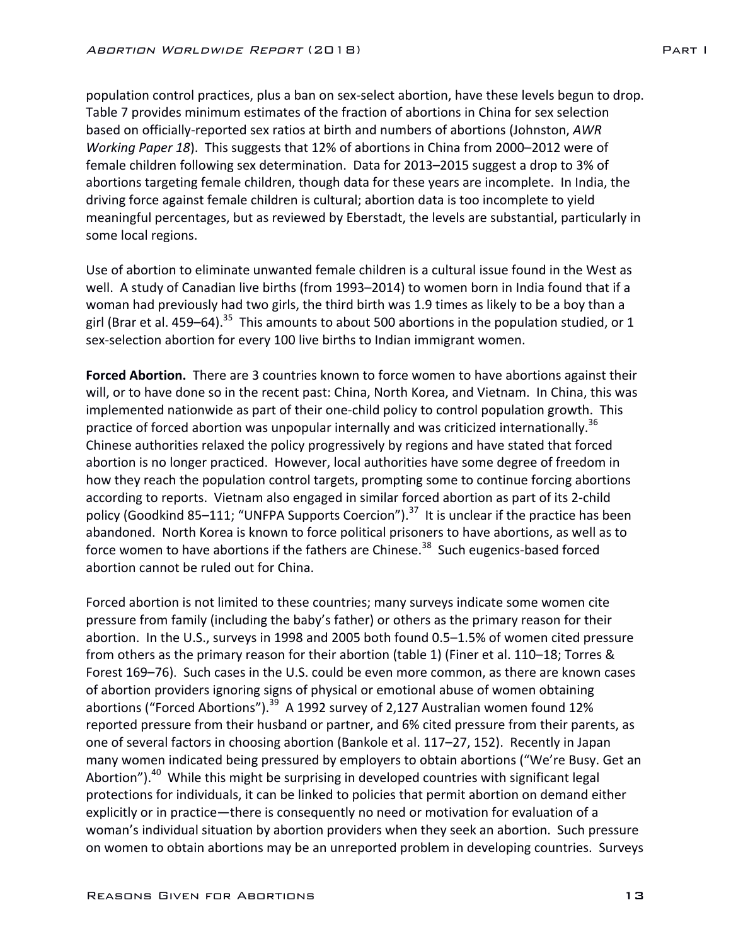population control practices, plus a ban on sex-select abortion, have these levels begun to drop. Table 7 provides minimum estimates of the fraction of abortions in China for sex selection based on officially-reported sex ratios at birth and numbers of abortions (Johnston, *AWR Working Paper 18*). This suggests that 12% of abortions in China from 2000–2012 were of female children following sex determination. Data for 2013–2015 suggest a drop to 3% of abortions targeting female children, though data for these years are incomplete. In India, the driving force against female children is cultural; abortion data is too incomplete to yield meaningful percentages, but as reviewed by Eberstadt, the levels are substantial, particularly in some local regions.

Use of abortion to eliminate unwanted female children is a cultural issue found in the West as well. A study of Canadian live births (from 1993–2014) to women born in India found that if a woman had previously had two girls, the third birth was 1.9 times as likely to be a boy than a girl (Brar et al. 459–64).<sup>35</sup> This amounts to about 500 abortions in the population studied, or 1 sex-selection abortion for every 100 live births to Indian immigrant women.

**Forced Abortion.** There are 3 countries known to force women to have abortions against their will, or to have done so in the recent past: China, North Korea, and Vietnam. In China, this was implemented nationwide as part of their one-child policy to control population growth. This practice of forced abortion was unpopular internally and was criticized internationally.<sup>36</sup> Chinese authorities relaxed the policy progressively by regions and have stated that forced abortion is no longer practiced. However, local authorities have some degree of freedom in how they reach the population control targets, prompting some to continue forcing abortions according to reports. Vietnam also engaged in similar forced abortion as part of its 2-child policy (Goodkind 85–111; "UNFPA Supports Coercion").<sup>37</sup> It is unclear if the practice has been abandoned. North Korea is known to force political prisoners to have abortions, as well as to force women to have abortions if the fathers are Chinese.<sup>38</sup> Such eugenics-based forced abortion cannot be ruled out for China.

Forced abortion is not limited to these countries; many surveys indicate some women cite pressure from family (including the baby's father) or others as the primary reason for their abortion. In the U.S., surveys in 1998 and 2005 both found 0.5–1.5% of women cited pressure from others as the primary reason for their abortion (table 1) (Finer et al. 110–18; Torres & Forest 169–76). Such cases in the U.S. could be even more common, as there are known cases of abortion providers ignoring signs of physical or emotional abuse of women obtaining abortions ("Forced Abortions").<sup>39</sup> A 1992 survey of 2,127 Australian women found 12% reported pressure from their husband or partner, and 6% cited pressure from their parents, as one of several factors in choosing abortion (Bankole et al. 117–27, 152). Recently in Japan many women indicated being pressured by employers to obtain abortions ("We're Busy. Get an Abortion").<sup>40</sup> While this might be surprising in developed countries with significant legal protections for individuals, it can be linked to policies that permit abortion on demand either explicitly or in practice—there is consequently no need or motivation for evaluation of a woman's individual situation by abortion providers when they seek an abortion. Such pressure on women to obtain abortions may be an unreported problem in developing countries. Surveys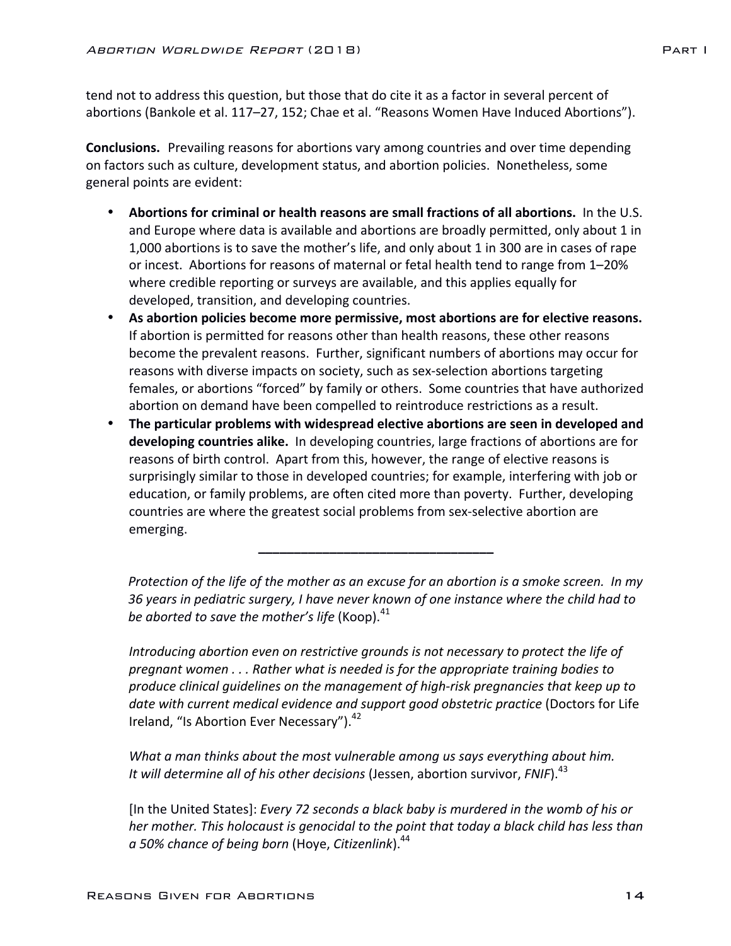tend not to address this question, but those that do cite it as a factor in several percent of abortions (Bankole et al. 117-27, 152; Chae et al. "Reasons Women Have Induced Abortions").

**Conclusions.** Prevailing reasons for abortions vary among countries and over time depending on factors such as culture, development status, and abortion policies. Nonetheless, some general points are evident:

- Abortions for criminal or health reasons are small fractions of all abortions. In the U.S. and Europe where data is available and abortions are broadly permitted, only about 1 in 1,000 abortions is to save the mother's life, and only about 1 in 300 are in cases of rape or incest. Abortions for reasons of maternal or fetal health tend to range from 1–20% where credible reporting or surveys are available, and this applies equally for developed, transition, and developing countries.
- As abortion policies become more permissive, most abortions are for elective reasons. If abortion is permitted for reasons other than health reasons, these other reasons become the prevalent reasons. Further, significant numbers of abortions may occur for reasons with diverse impacts on society, such as sex-selection abortions targeting females, or abortions "forced" by family or others. Some countries that have authorized abortion on demand have been compelled to reintroduce restrictions as a result.
- The particular problems with widespread elective abortions are seen in developed and **developing countries alike.** In developing countries, large fractions of abortions are for reasons of birth control. Apart from this, however, the range of elective reasons is surprisingly similar to those in developed countries; for example, interfering with job or education, or family problems, are often cited more than poverty. Further, developing countries are where the greatest social problems from sex-selective abortion are emerging.

**\_\_\_\_\_\_\_\_\_\_\_\_\_\_\_\_\_\_\_\_\_\_\_\_\_\_\_\_\_\_\_\_\_**

*Protection of the life of the mother as an excuse for an abortion is a smoke screen. In my* 36 vears in pediatric surgery, I have never known of one instance where the child had to *be aborted to save the mother's life* (Koop).<sup>41</sup>

*Introducing abortion even on restrictive grounds is not necessary to protect the life of* pregnant women . . . Rather what is needed is for the appropriate training bodies to *produce clinical guidelines on the management of high-risk pregnancies that keep up to*  date with current medical evidence and support good obstetric practice (Doctors for Life Ireland, "Is Abortion Ever Necessary").<sup>42</sup>

*What a man thinks about the most vulnerable among us says everything about him.* It will determine all of his other decisions (Jessen, abortion survivor, *FNIF*).<sup>43</sup>

[In the United States]: *Every 72 seconds a black baby is murdered in the womb of his or her* mother. This holocaust is genocidal to the point that today a black child has less than *a 50% chance of being born* (Hoye, *Citizenlink*).44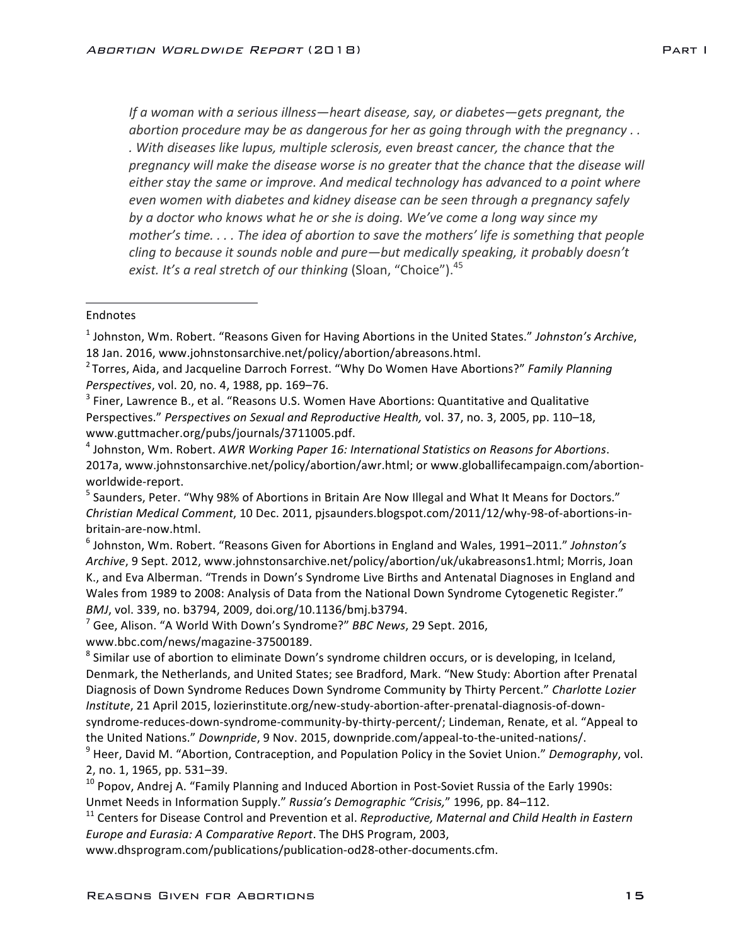*If* a woman with a serious illness—heart disease, say, or diabetes—gets pregnant, the *abortion procedure may be as dangerous for her as going through with the pregnancy .. . With diseases like lupus, multiple sclerosis, even breast cancer, the chance that the* pregnancy will make the disease worse is no greater that the chance that the disease will either stay the same or improve. And medical technology has advanced to a point where even women with diabetes and kidney disease can be seen through a pregnancy safely by a doctor who knows what he or she is doing. We've come a long way since my *mother's* time. . . . The idea of abortion to save the mothers' life is something that people *cling* to because it sounds noble and pure—but medically speaking, it probably doesn't *exist.* It's a real stretch of our thinking (Sloan, "Choice").<sup>45</sup>

#### Endnotes

 

<sup>1</sup> Johnston, Wm. Robert. "Reasons Given for Having Abortions in the United States." Johnston's Archive, 18 Jan. 2016, www.johnstonsarchive.net/policy/abortion/abreasons.html.

<sup>4</sup> Johnston, Wm. Robert. *AWR Working Paper 16: International Statistics on Reasons for Abortions.* 2017a, www.johnstonsarchive.net/policy/abortion/awr.html; or www.globallifecampaign.com/abortionworldwide-report.

<sup>5</sup> Saunders, Peter. "Why 98% of Abortions in Britain Are Now Illegal and What It Means for Doctors." *Christian Medical Comment*, 10 Dec. 2011, pjsaunders.blogspot.com/2011/12/why-98-of-abortions-inbritain-are-now.html.

<sup>6</sup> Johnston, Wm. Robert. "Reasons Given for Abortions in England and Wales, 1991–2011." Johnston's Archive, 9 Sept. 2012, www.johnstonsarchive.net/policy/abortion/uk/ukabreasons1.html; Morris, Joan K., and Eva Alberman. "Trends in Down's Syndrome Live Births and Antenatal Diagnoses in England and Wales from 1989 to 2008: Analysis of Data from the National Down Syndrome Cytogenetic Register." *BMJ*, vol. 339, no. b3794, 2009, doi.org/10.1136/bmj.b3794.

<sup>7</sup> Gee, Alison. "A World With Down's Syndrome?" *BBC News*, 29 Sept. 2016,

www.bbc.com/news/magazine-37500189.

<sup>11</sup> Centers for Disease Control and Prevention et al. *Reproductive, Maternal and Child Health in Eastern Europe and Eurasia: A Comparative Report*. The DHS Program, 2003,

www.dhsprogram.com/publications/publication-od28-other-documents.cfm.

<sup>&</sup>lt;sup>2</sup> Torres, Aida, and Jacqueline Darroch Forrest. "Why Do Women Have Abortions?" Family Planning *Perspectives*, vol. 20, no. 4, 1988, pp. 169–76.

 $3$  Finer, Lawrence B., et al. "Reasons U.S. Women Have Abortions: Quantitative and Qualitative Perspectives." Perspectives on Sexual and Reproductive Health, vol. 37, no. 3, 2005, pp. 110–18, www.guttmacher.org/pubs/journals/3711005.pdf.

<sup>&</sup>lt;sup>8</sup> Similar use of abortion to eliminate Down's syndrome children occurs, or is developing, in Iceland, Denmark, the Netherlands, and United States; see Bradford, Mark. "New Study: Abortion after Prenatal Diagnosis of Down Syndrome Reduces Down Syndrome Community by Thirty Percent." *Charlotte Lozier* Institute, 21 April 2015, lozierinstitute.org/new-study-abortion-after-prenatal-diagnosis-of-downsyndrome-reduces-down-syndrome-community-by-thirty-percent/; Lindeman, Renate, et al. "Appeal to the United Nations." *Downpride*, 9 Nov. 2015, downpride.com/appeal-to-the-united-nations/.

<sup>&</sup>lt;sup>9</sup> Heer, David M. "Abortion, Contraception, and Population Policy in the Soviet Union." Demography, vol. 2, no. 1, 1965, pp. 531-39.

 $10$  Popov, Andrej A. "Family Planning and Induced Abortion in Post-Soviet Russia of the Early 1990s: Unmet Needs in Information Supply." Russia's Demographic "Crisis," 1996, pp. 84-112.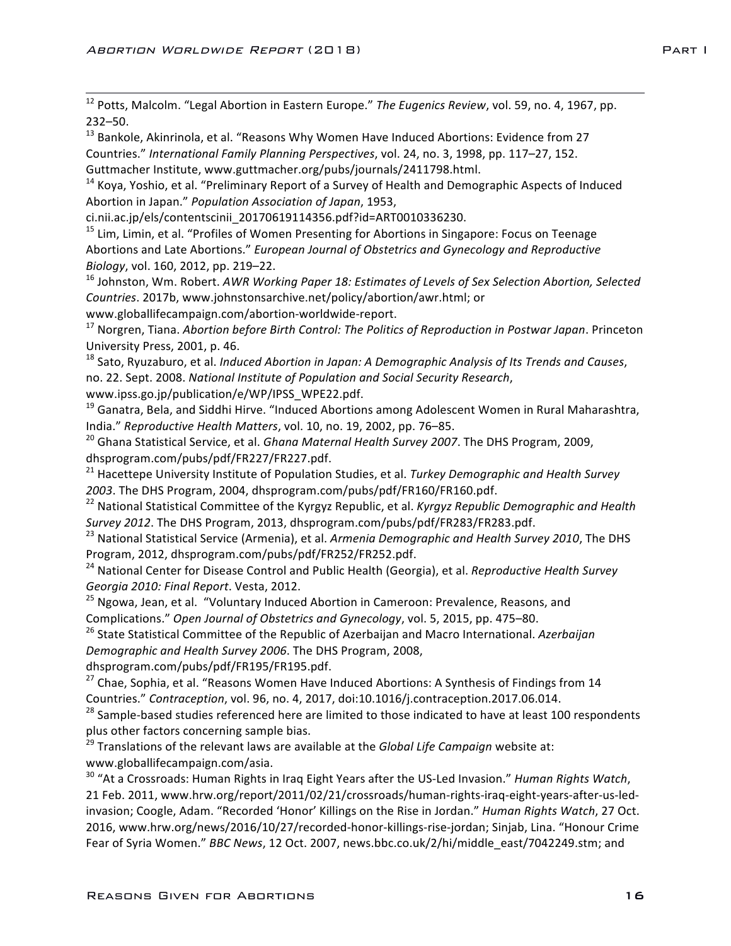12 Potts, Malcolm. "Legal Abortion in Eastern Europe." *The Eugenics Review*, vol. 59, no. 4, 1967, pp. 232–50.

 $13$  Bankole, Akinrinola, et al. "Reasons Why Women Have Induced Abortions: Evidence from 27 Countries." International Family Planning Perspectives, vol. 24, no. 3, 1998, pp. 117–27, 152. Guttmacher Institute, www.guttmacher.org/pubs/journals/2411798.html.

 $14$  Kova, Yoshio, et al. "Preliminary Report of a Survey of Health and Demographic Aspects of Induced Abortion in Japan." Population Association of Japan, 1953,

ci.nii.ac.jp/els/contentscinii\_20170619114356.pdf?id=ART0010336230.

<sup>15</sup> Lim, Limin, et al. "Profiles of Women Presenting for Abortions in Singapore: Focus on Teenage Abortions and Late Abortions." *European Journal of Obstetrics and Gynecology and Reproductive Biology*, vol. 160, 2012, pp. 219–22.

<sup>16</sup> Johnston, Wm. Robert. AWR Working Paper 18: *Estimates of Levels of Sex Selection Abortion, Selected Countries*. 2017b, www.johnstonsarchive.net/policy/abortion/awr.html; or

www.globallifecampaign.com/abortion-worldwide-report.

<sup>17</sup> Norgren, Tiana. *Abortion before Birth Control: The Politics of Reproduction in Postwar Japan. Princeton* University Press, 2001, p. 46.

<sup>18</sup> Sato, Ryuzaburo, et al. *Induced Abortion in Japan: A Demographic Analysis of Its Trends and Causes*, no. 22. Sept. 2008. *National Institute of Population and Social Security Research*,

www.ipss.go.jp/publication/e/WP/IPSS\_WPE22.pdf.

 $19$  Ganatra, Bela, and Siddhi Hirve. "Induced Abortions among Adolescent Women in Rural Maharashtra, India." *Reproductive Health Matters*, vol. 10, no. 19, 2002, pp. 76–85.

<sup>20</sup> Ghana Statistical Service, et al. *Ghana Maternal Health Survey 2007*. The DHS Program, 2009, dhsprogram.com/pubs/pdf/FR227/FR227.pdf.

<sup>21</sup> Hacettepe University Institute of Population Studies, et al. *Turkey Demographic and Health Survey* 2003. The DHS Program, 2004, dhsprogram.com/pubs/pdf/FR160/FR160.pdf.

<sup>22</sup> National Statistical Committee of the Kyrgyz Republic, et al. *Kyrgyz Republic Demographic and Health* Survey 2012. The DHS Program, 2013, dhsprogram.com/pubs/pdf/FR283/FR283.pdf.

<sup>23</sup> National Statistical Service (Armenia), et al. *Armenia Demographic and Health Survey 2010*, The DHS Program, 2012, dhsprogram.com/pubs/pdf/FR252/FR252.pdf.

<sup>24</sup> National Center for Disease Control and Public Health (Georgia), et al. *Reproductive Health Survey* Georgia 2010: Final Report. Vesta, 2012.

<sup>25</sup> Ngowa, Jean, et al. "Voluntary Induced Abortion in Cameroon: Prevalence, Reasons, and Complications." Open Journal of Obstetrics and Gynecology, vol. 5, 2015, pp. 475–80.

<sup>26</sup> State Statistical Committee of the Republic of Azerbaijan and Macro International. Azerbaijan *Demographic and Health Survey 2006*. The DHS Program, 2008,

dhsprogram.com/pubs/pdf/FR195/FR195.pdf.

 $27$  Chae, Sophia, et al. "Reasons Women Have Induced Abortions: A Synthesis of Findings from 14 Countries." *Contraception*, vol. 96, no. 4, 2017, doi:10.1016/j.contraception.2017.06.014.

<sup>28</sup> Sample-based studies referenced here are limited to those indicated to have at least 100 respondents plus other factors concerning sample bias.

<sup>29</sup> Translations of the relevant laws are available at the *Global Life Campaign* website at: www.globallifecampaign.com/asia.

<sup>30</sup> "At a Crossroads: Human Rights in Iraq Eight Years after the US-Led Invasion." *Human Rights Watch*, 21 Feb. 2011, www.hrw.org/report/2011/02/21/crossroads/human-rights-iraq-eight-years-after-us-ledinvasion; Coogle, Adam. "Recorded 'Honor' Killings on the Rise in Jordan." *Human Rights Watch*, 27 Oct. 2016, www.hrw.org/news/2016/10/27/recorded-honor-killings-rise-jordan; Sinjab, Lina. "Honour Crime Fear of Syria Women." *BBC News*, 12 Oct. 2007, news.bbc.co.uk/2/hi/middle\_east/7042249.stm; and